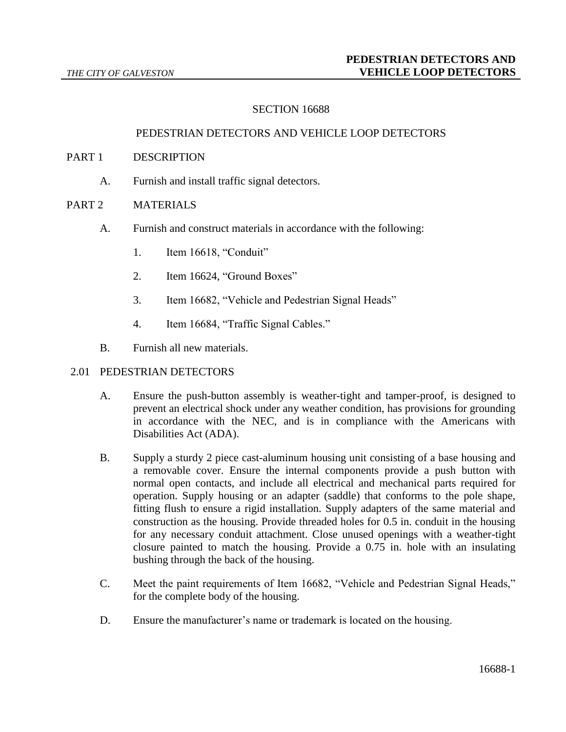## SECTION 16688

#### PEDESTRIAN DETECTORS AND VEHICLE LOOP DETECTORS

#### PART 1 DESCRIPTION

A. Furnish and install traffic signal detectors.

### PART 2 MATERIALS

- A. Furnish and construct materials in accordance with the following:
	- 1. Item 16618, "Conduit"
	- 2. Item 16624, "Ground Boxes"
	- 3. Item 16682, "Vehicle and Pedestrian Signal Heads"
	- 4. Item 16684, "Traffic Signal Cables."
- B. Furnish all new materials.

#### 2.01 PEDESTRIAN DETECTORS

- A. Ensure the push-button assembly is weather-tight and tamper-proof, is designed to prevent an electrical shock under any weather condition, has provisions for grounding in accordance with the NEC, and is in compliance with the Americans with Disabilities Act (ADA).
- B. Supply a sturdy 2 piece cast-aluminum housing unit consisting of a base housing and a removable cover. Ensure the internal components provide a push button with normal open contacts, and include all electrical and mechanical parts required for operation. Supply housing or an adapter (saddle) that conforms to the pole shape, fitting flush to ensure a rigid installation. Supply adapters of the same material and construction as the housing. Provide threaded holes for 0.5 in. conduit in the housing for any necessary conduit attachment. Close unused openings with a weather-tight closure painted to match the housing. Provide a 0.75 in. hole with an insulating bushing through the back of the housing.
- C. Meet the paint requirements of Item 16682, "Vehicle and Pedestrian Signal Heads," for the complete body of the housing.
- D. Ensure the manufacturer's name or trademark is located on the housing.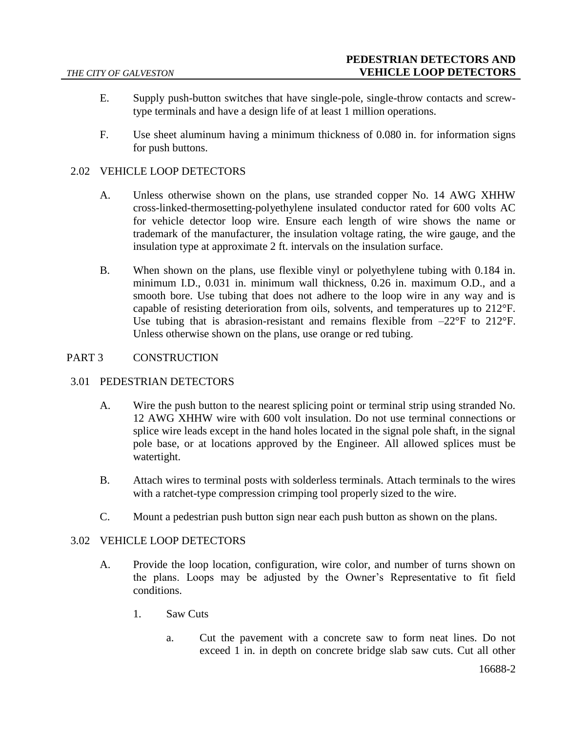- E. Supply push-button switches that have single-pole, single-throw contacts and screwtype terminals and have a design life of at least 1 million operations.
- F. Use sheet aluminum having a minimum thickness of 0.080 in. for information signs for push buttons.

# 2.02 VEHICLE LOOP DETECTORS

- A. Unless otherwise shown on the plans, use stranded copper No. 14 AWG XHHW cross-linked-thermosetting-polyethylene insulated conductor rated for 600 volts AC for vehicle detector loop wire. Ensure each length of wire shows the name or trademark of the manufacturer, the insulation voltage rating, the wire gauge, and the insulation type at approximate 2 ft. intervals on the insulation surface.
- B. When shown on the plans, use flexible vinyl or polyethylene tubing with 0.184 in. minimum I.D., 0.031 in. minimum wall thickness, 0.26 in. maximum O.D., and a smooth bore. Use tubing that does not adhere to the loop wire in any way and is capable of resisting deterioration from oils, solvents, and temperatures up to 212°F. Use tubing that is abrasion-resistant and remains flexible from  $-22^{\circ}F$  to  $212^{\circ}F$ . Unless otherwise shown on the plans, use orange or red tubing.

## PART 3 CONSTRUCTION

## 3.01 PEDESTRIAN DETECTORS

- A. Wire the push button to the nearest splicing point or terminal strip using stranded No. 12 AWG XHHW wire with 600 volt insulation. Do not use terminal connections or splice wire leads except in the hand holes located in the signal pole shaft, in the signal pole base, or at locations approved by the Engineer. All allowed splices must be watertight.
- B. Attach wires to terminal posts with solderless terminals. Attach terminals to the wires with a ratchet-type compression crimping tool properly sized to the wire.
- C. Mount a pedestrian push button sign near each push button as shown on the plans.

## 3.02 VEHICLE LOOP DETECTORS

- A. Provide the loop location, configuration, wire color, and number of turns shown on the plans. Loops may be adjusted by the Owner's Representative to fit field conditions.
	- 1. Saw Cuts
		- a. Cut the pavement with a concrete saw to form neat lines. Do not exceed 1 in. in depth on concrete bridge slab saw cuts. Cut all other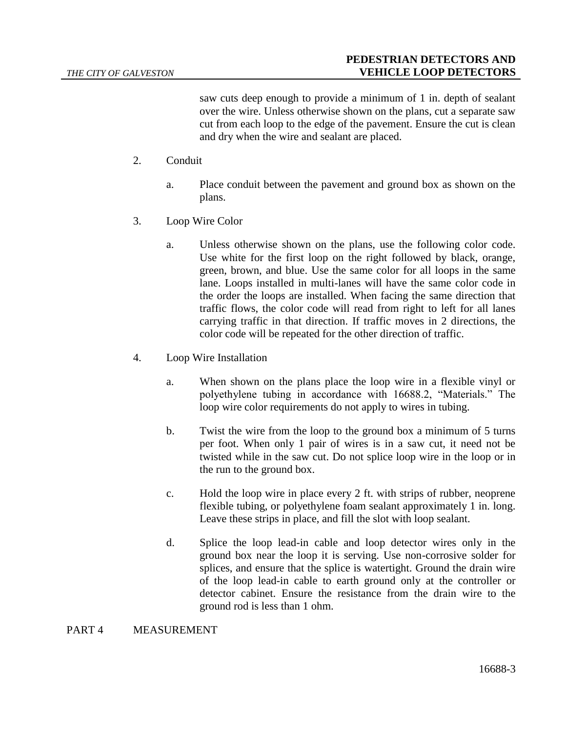saw cuts deep enough to provide a minimum of 1 in. depth of sealant over the wire. Unless otherwise shown on the plans, cut a separate saw cut from each loop to the edge of the pavement. Ensure the cut is clean and dry when the wire and sealant are placed.

- 2. Conduit
	- a. Place conduit between the pavement and ground box as shown on the plans.
- 3. Loop Wire Color
	- a. Unless otherwise shown on the plans, use the following color code. Use white for the first loop on the right followed by black, orange, green, brown, and blue. Use the same color for all loops in the same lane. Loops installed in multi-lanes will have the same color code in the order the loops are installed. When facing the same direction that traffic flows, the color code will read from right to left for all lanes carrying traffic in that direction. If traffic moves in 2 directions, the color code will be repeated for the other direction of traffic.
- 4. Loop Wire Installation
	- a. When shown on the plans place the loop wire in a flexible vinyl or polyethylene tubing in accordance with 16688.2, "Materials." The loop wire color requirements do not apply to wires in tubing.
	- b. Twist the wire from the loop to the ground box a minimum of 5 turns per foot. When only 1 pair of wires is in a saw cut, it need not be twisted while in the saw cut. Do not splice loop wire in the loop or in the run to the ground box.
	- c. Hold the loop wire in place every 2 ft. with strips of rubber, neoprene flexible tubing, or polyethylene foam sealant approximately 1 in. long. Leave these strips in place, and fill the slot with loop sealant.
	- d. Splice the loop lead-in cable and loop detector wires only in the ground box near the loop it is serving. Use non-corrosive solder for splices, and ensure that the splice is watertight. Ground the drain wire of the loop lead-in cable to earth ground only at the controller or detector cabinet. Ensure the resistance from the drain wire to the ground rod is less than 1 ohm.

#### PART 4 MEASUREMENT